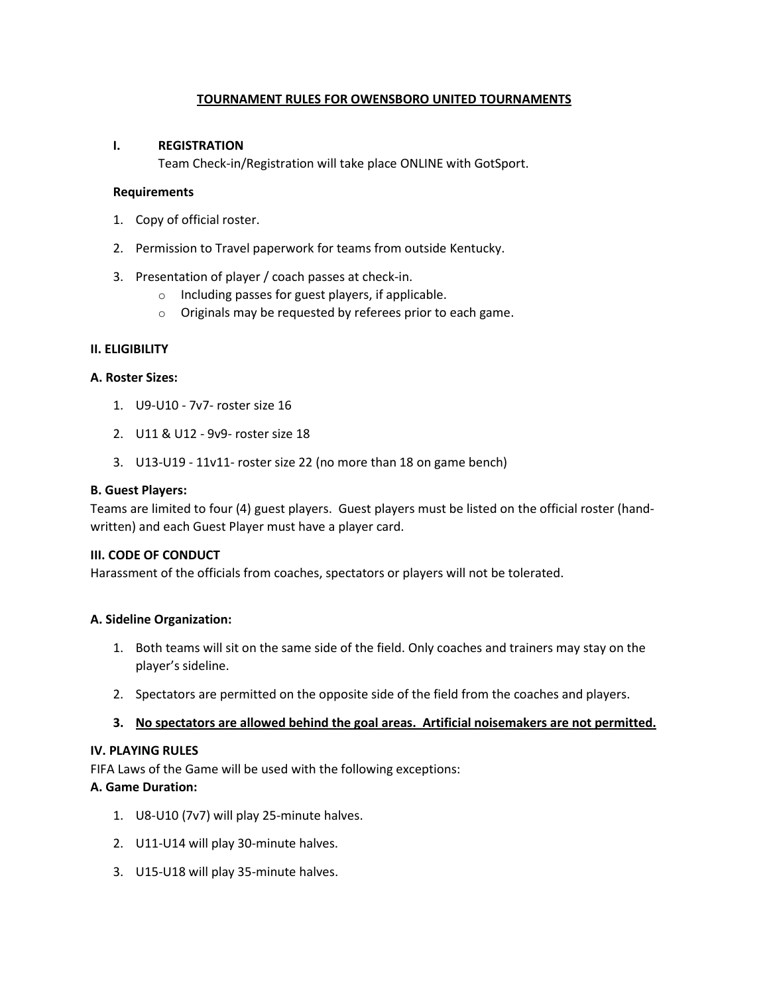## **TOURNAMENT RULES FOR OWENSBORO UNITED TOURNAMENTS**

#### **I. REGISTRATION**

Team Check-in/Registration will take place ONLINE with GotSport.

#### **Requirements**

- 1. Copy of official roster.
- 2. Permission to Travel paperwork for teams from outside Kentucky.
- 3. Presentation of player / coach passes at check-in.
	- $\circ$  Including passes for guest players, if applicable.
	- o Originals may be requested by referees prior to each game.

## **II. ELIGIBILITY**

#### **A. Roster Sizes:**

- 1. U9-U10 7v7- roster size 16
- 2. U11 & U12 9v9- roster size 18
- 3. U13-U19 11v11- roster size 22 (no more than 18 on game bench)

#### **B. Guest Players:**

Teams are limited to four (4) guest players. Guest players must be listed on the official roster (handwritten) and each Guest Player must have a player card.

## **III. CODE OF CONDUCT**

Harassment of the officials from coaches, spectators or players will not be tolerated.

## **A. Sideline Organization:**

- 1. Both teams will sit on the same side of the field. Only coaches and trainers may stay on the player's sideline.
- 2. Spectators are permitted on the opposite side of the field from the coaches and players.

## **3. No spectators are allowed behind the goal areas. Artificial noisemakers are not permitted.**

## **IV. PLAYING RULES**

FIFA Laws of the Game will be used with the following exceptions:

## **A. Game Duration:**

- 1. U8-U10 (7v7) will play 25-minute halves.
- 2. U11-U14 will play 30-minute halves.
- 3. U15-U18 will play 35-minute halves.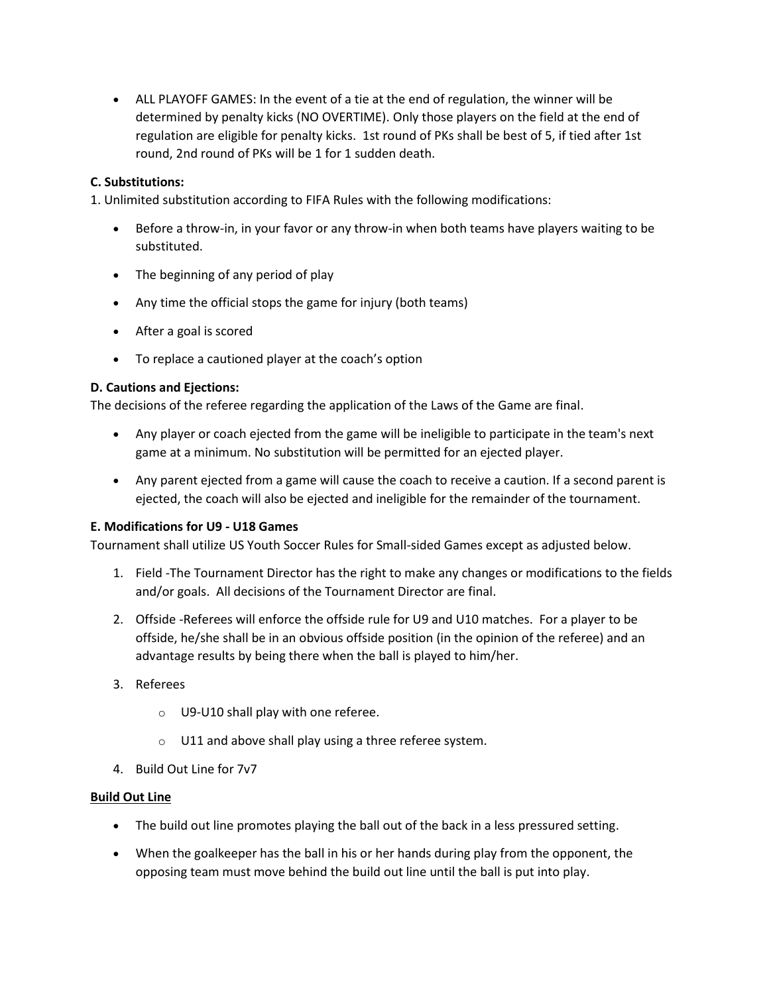• ALL PLAYOFF GAMES: In the event of a tie at the end of regulation, the winner will be determined by penalty kicks (NO OVERTIME). Only those players on the field at the end of regulation are eligible for penalty kicks. 1st round of PKs shall be best of 5, if tied after 1st round, 2nd round of PKs will be 1 for 1 sudden death.

# **C. Substitutions:**

1. Unlimited substitution according to FIFA Rules with the following modifications:

- Before a throw-in, in your favor or any throw-in when both teams have players waiting to be substituted.
- The beginning of any period of play
- Any time the official stops the game for injury (both teams)
- After a goal is scored
- To replace a cautioned player at the coach's option

## **D. Cautions and Ejections:**

The decisions of the referee regarding the application of the Laws of the Game are final.

- Any player or coach ejected from the game will be ineligible to participate in the team's next game at a minimum. No substitution will be permitted for an ejected player.
- Any parent ejected from a game will cause the coach to receive a caution. If a second parent is ejected, the coach will also be ejected and ineligible for the remainder of the tournament.

## **E. Modifications for U9 - U18 Games**

Tournament shall utilize US Youth Soccer Rules for Small-sided Games except as adjusted below.

- 1. Field -The Tournament Director has the right to make any changes or modifications to the fields and/or goals. All decisions of the Tournament Director are final.
- 2. Offside -Referees will enforce the offside rule for U9 and U10 matches. For a player to be offside, he/she shall be in an obvious offside position (in the opinion of the referee) and an advantage results by being there when the ball is played to him/her.
- 3. Referees
	- o U9-U10 shall play with one referee.
	- o U11 and above shall play using a three referee system.
- 4. Build Out Line for 7v7

## **Build Out Line**

- The build out line promotes playing the ball out of the back in a less pressured setting.
- When the goalkeeper has the ball in his or her hands during play from the opponent, the opposing team must move behind the build out line until the ball is put into play.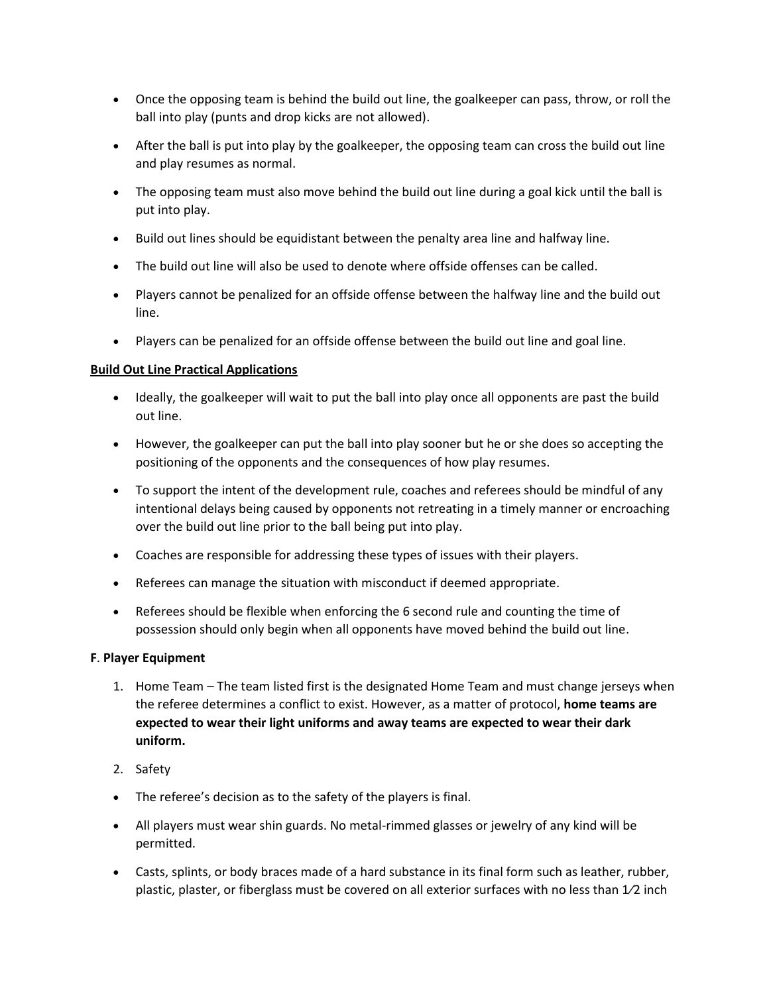- Once the opposing team is behind the build out line, the goalkeeper can pass, throw, or roll the ball into play (punts and drop kicks are not allowed).
- After the ball is put into play by the goalkeeper, the opposing team can cross the build out line and play resumes as normal.
- The opposing team must also move behind the build out line during a goal kick until the ball is put into play.
- Build out lines should be equidistant between the penalty area line and halfway line.
- The build out line will also be used to denote where offside offenses can be called.
- Players cannot be penalized for an offside offense between the halfway line and the build out line.
- Players can be penalized for an offside offense between the build out line and goal line.

## **Build Out Line Practical Applications**

- Ideally, the goalkeeper will wait to put the ball into play once all opponents are past the build out line.
- However, the goalkeeper can put the ball into play sooner but he or she does so accepting the positioning of the opponents and the consequences of how play resumes.
- To support the intent of the development rule, coaches and referees should be mindful of any intentional delays being caused by opponents not retreating in a timely manner or encroaching over the build out line prior to the ball being put into play.
- Coaches are responsible for addressing these types of issues with their players.
- Referees can manage the situation with misconduct if deemed appropriate.
- Referees should be flexible when enforcing the 6 second rule and counting the time of possession should only begin when all opponents have moved behind the build out line.

## **F**. **Player Equipment**

- 1. Home Team The team listed first is the designated Home Team and must change jerseys when the referee determines a conflict to exist. However, as a matter of protocol, **home teams are expected to wear their light uniforms and away teams are expected to wear their dark uniform.**
- 2. Safety
- The referee's decision as to the safety of the players is final.
- All players must wear shin guards. No metal-rimmed glasses or jewelry of any kind will be permitted.
- Casts, splints, or body braces made of a hard substance in its final form such as leather, rubber, plastic, plaster, or fiberglass must be covered on all exterior surfaces with no less than 1⁄2 inch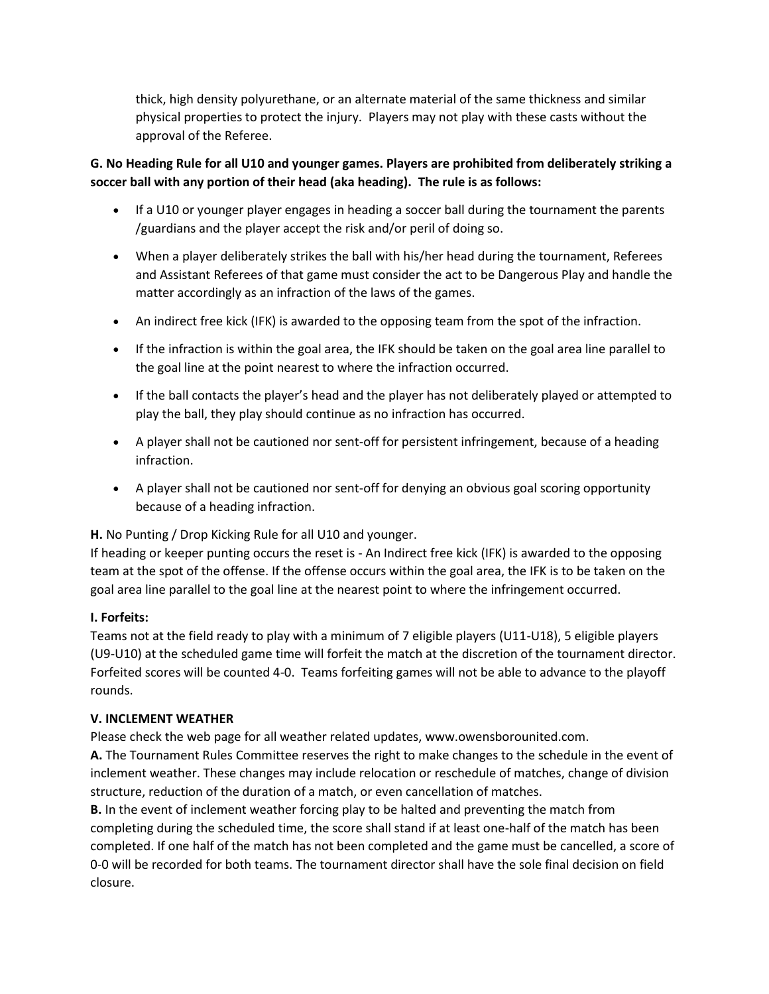thick, high density polyurethane, or an alternate material of the same thickness and similar physical properties to protect the injury. Players may not play with these casts without the approval of the Referee.

# **G. No Heading Rule for all U10 and younger games. Players are prohibited from deliberately striking a soccer ball with any portion of their head (aka heading). The rule is as follows:**

- If a U10 or younger player engages in heading a soccer ball during the tournament the parents /guardians and the player accept the risk and/or peril of doing so.
- When a player deliberately strikes the ball with his/her head during the tournament, Referees and Assistant Referees of that game must consider the act to be Dangerous Play and handle the matter accordingly as an infraction of the laws of the games.
- An indirect free kick (IFK) is awarded to the opposing team from the spot of the infraction.
- If the infraction is within the goal area, the IFK should be taken on the goal area line parallel to the goal line at the point nearest to where the infraction occurred.
- If the ball contacts the player's head and the player has not deliberately played or attempted to play the ball, they play should continue as no infraction has occurred.
- A player shall not be cautioned nor sent-off for persistent infringement, because of a heading infraction.
- A player shall not be cautioned nor sent-off for denying an obvious goal scoring opportunity because of a heading infraction.

**H.** No Punting / Drop Kicking Rule for all U10 and younger.

If heading or keeper punting occurs the reset is - An Indirect free kick (IFK) is awarded to the opposing team at the spot of the offense. If the offense occurs within the goal area, the IFK is to be taken on the goal area line parallel to the goal line at the nearest point to where the infringement occurred.

# **I. Forfeits:**

Teams not at the field ready to play with a minimum of 7 eligible players (U11-U18), 5 eligible players (U9-U10) at the scheduled game time will forfeit the match at the discretion of the tournament director. Forfeited scores will be counted 4-0. Teams forfeiting games will not be able to advance to the playoff rounds.

## **V. INCLEMENT WEATHER**

Please check the web page for all weather related updates, www.owensborounited.com.

**A.** The Tournament Rules Committee reserves the right to make changes to the schedule in the event of inclement weather. These changes may include relocation or reschedule of matches, change of division structure, reduction of the duration of a match, or even cancellation of matches.

**B.** In the event of inclement weather forcing play to be halted and preventing the match from completing during the scheduled time, the score shall stand if at least one-half of the match has been completed. If one half of the match has not been completed and the game must be cancelled, a score of 0-0 will be recorded for both teams. The tournament director shall have the sole final decision on field closure.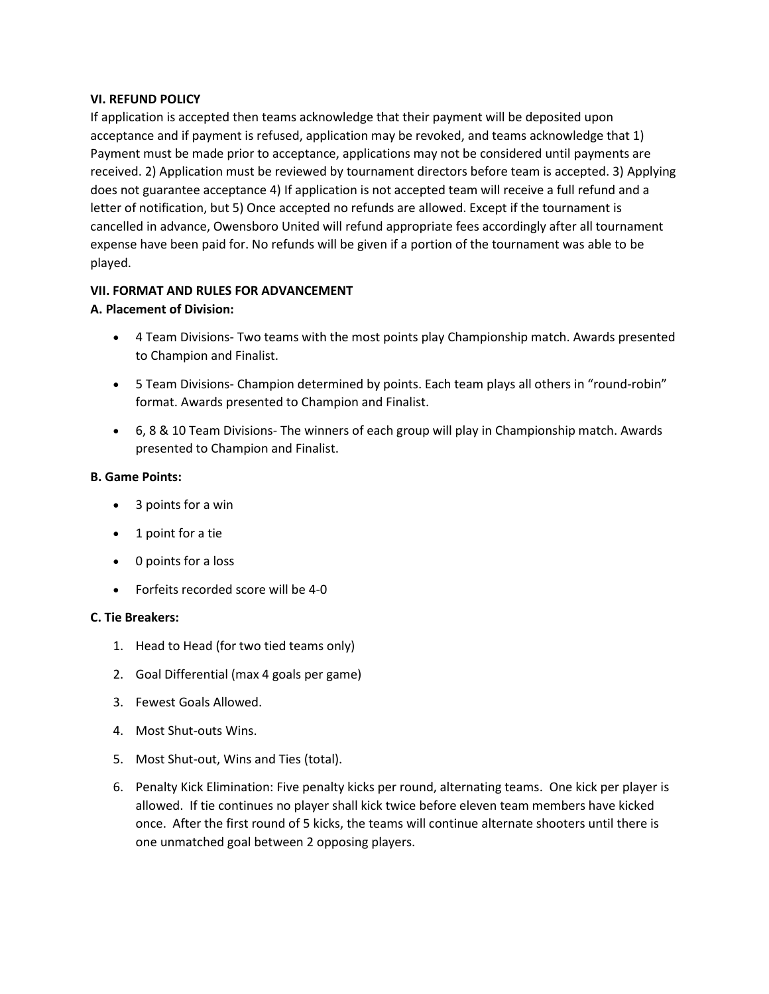### **VI. REFUND POLICY**

If application is accepted then teams acknowledge that their payment will be deposited upon acceptance and if payment is refused, application may be revoked, and teams acknowledge that 1) Payment must be made prior to acceptance, applications may not be considered until payments are received. 2) Application must be reviewed by tournament directors before team is accepted. 3) Applying does not guarantee acceptance 4) If application is not accepted team will receive a full refund and a letter of notification, but 5) Once accepted no refunds are allowed. Except if the tournament is cancelled in advance, Owensboro United will refund appropriate fees accordingly after all tournament expense have been paid for. No refunds will be given if a portion of the tournament was able to be played.

# **VII. FORMAT AND RULES FOR ADVANCEMENT**

## **A. Placement of Division:**

- 4 Team Divisions- Two teams with the most points play Championship match. Awards presented to Champion and Finalist.
- 5 Team Divisions- Champion determined by points. Each team plays all others in "round-robin" format. Awards presented to Champion and Finalist.
- 6, 8 & 10 Team Divisions- The winners of each group will play in Championship match. Awards presented to Champion and Finalist.

## **B. Game Points:**

- 3 points for a win
- 1 point for a tie
- 0 points for a loss
- Forfeits recorded score will be 4-0

## **C. Tie Breakers:**

- 1. Head to Head (for two tied teams only)
- 2. Goal Differential (max 4 goals per game)
- 3. Fewest Goals Allowed.
- 4. Most Shut-outs Wins.
- 5. Most Shut-out, Wins and Ties (total).
- 6. Penalty Kick Elimination: Five penalty kicks per round, alternating teams. One kick per player is allowed. If tie continues no player shall kick twice before eleven team members have kicked once. After the first round of 5 kicks, the teams will continue alternate shooters until there is one unmatched goal between 2 opposing players.